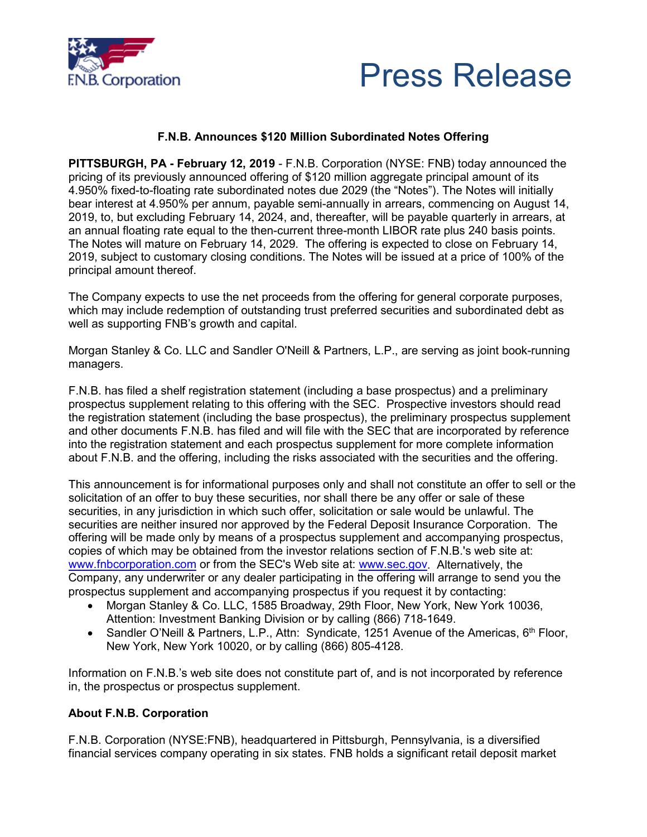



## **F.N.B. Announces \$120 Million Subordinated Notes Offering**

**PITTSBURGH, PA - February 12, 2019** - F.N.B. Corporation (NYSE: FNB) today announced the pricing of its previously announced offering of \$120 million aggregate principal amount of its 4.950% fixed-to-floating rate subordinated notes due 2029 (the "Notes"). The Notes will initially bear interest at 4.950% per annum, payable semi-annually in arrears, commencing on August 14, 2019, to, but excluding February 14, 2024, and, thereafter, will be payable quarterly in arrears, at an annual floating rate equal to the then-current three-month LIBOR rate plus 240 basis points. The Notes will mature on February 14, 2029. The offering is expected to close on February 14, 2019, subject to customary closing conditions. The Notes will be issued at a price of 100% of the principal amount thereof.

The Company expects to use the net proceeds from the offering for general corporate purposes, which may include redemption of outstanding trust preferred securities and subordinated debt as well as supporting FNB's growth and capital.

Morgan Stanley & Co. LLC and Sandler O'Neill & Partners, L.P., are serving as joint book-running managers.

F.N.B. has filed a shelf registration statement (including a base prospectus) and a preliminary prospectus supplement relating to this offering with the SEC. Prospective investors should read the registration statement (including the base prospectus), the preliminary prospectus supplement and other documents F.N.B. has filed and will file with the SEC that are incorporated by reference into the registration statement and each prospectus supplement for more complete information about F.N.B. and the offering, including the risks associated with the securities and the offering.

This announcement is for informational purposes only and shall not constitute an offer to sell or the solicitation of an offer to buy these securities, nor shall there be any offer or sale of these securities, in any jurisdiction in which such offer, solicitation or sale would be unlawful. The securities are neither insured nor approved by the Federal Deposit Insurance Corporation. The offering will be made only by means of a prospectus supplement and accompanying prospectus, copies of which may be obtained from the investor relations section of F.N.B.'s web site at: www.fnbcorporation.com or from the SEC's Web site at: www.sec.gov. Alternatively, the Company, any underwriter or any dealer participating in the offering will arrange to send you the prospectus supplement and accompanying prospectus if you request it by contacting:

- Morgan Stanley & Co. LLC, 1585 Broadway, 29th Floor, New York, New York 10036, Attention: Investment Banking Division or by calling (866) 718-1649.
- Sandler O'Neill & Partners, L.P., Attn: Syndicate, 1251 Avenue of the Americas,  $6<sup>th</sup>$  Floor, New York, New York 10020, or by calling (866) 805-4128.

Information on F.N.B.'s web site does not constitute part of, and is not incorporated by reference in, the prospectus or prospectus supplement.

## **About F.N.B. Corporation**

F.N.B. Corporation (NYSE:FNB), headquartered in Pittsburgh, Pennsylvania, is a diversified financial services company operating in six states. FNB holds a significant retail deposit market